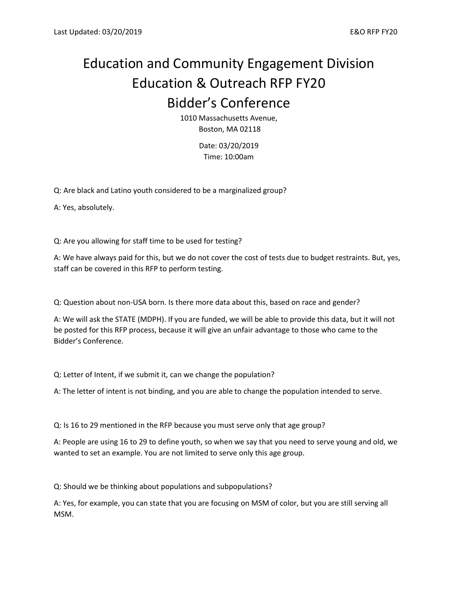## Education and Community Engagement Division Education & Outreach RFP FY20 Bidder's Conference

1010 Massachusetts Avenue, Boston, MA 02118

> Date: 03/20/2019 Time: 10:00am

Q: Are black and Latino youth considered to be a marginalized group?

A: Yes, absolutely.

Q: Are you allowing for staff time to be used for testing?

A: We have always paid for this, but we do not cover the cost of tests due to budget restraints. But, yes, staff can be covered in this RFP to perform testing.

Q: Question about non-USA born. Is there more data about this, based on race and gender?

A: We will ask the STATE (MDPH). If you are funded, we will be able to provide this data, but it will not be posted for this RFP process, because it will give an unfair advantage to those who came to the Bidder's Conference.

Q: Letter of Intent, if we submit it, can we change the population?

A: The letter of intent is not binding, and you are able to change the population intended to serve.

Q: Is 16 to 29 mentioned in the RFP because you must serve only that age group?

A: People are using 16 to 29 to define youth, so when we say that you need to serve young and old, we wanted to set an example. You are not limited to serve only this age group.

Q: Should we be thinking about populations and subpopulations?

A: Yes, for example, you can state that you are focusing on MSM of color, but you are still serving all MSM.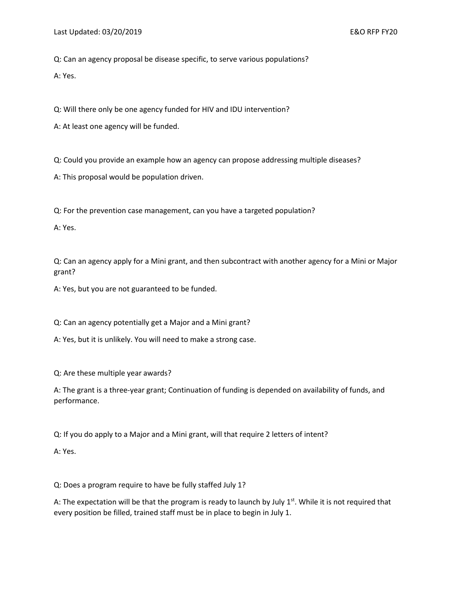Q: Can an agency proposal be disease specific, to serve various populations?

A: Yes.

Q: Will there only be one agency funded for HIV and IDU intervention?

A: At least one agency will be funded.

Q: Could you provide an example how an agency can propose addressing multiple diseases?

A: This proposal would be population driven.

Q: For the prevention case management, can you have a targeted population?

A: Yes.

Q: Can an agency apply for a Mini grant, and then subcontract with another agency for a Mini or Major grant?

A: Yes, but you are not guaranteed to be funded.

Q: Can an agency potentially get a Major and a Mini grant?

A: Yes, but it is unlikely. You will need to make a strong case.

Q: Are these multiple year awards?

A: The grant is a three-year grant; Continuation of funding is depended on availability of funds, and performance.

Q: If you do apply to a Major and a Mini grant, will that require 2 letters of intent?

A: Yes.

Q: Does a program require to have be fully staffed July 1?

A: The expectation will be that the program is ready to launch by July  $1^{st}$ . While it is not required that every position be filled, trained staff must be in place to begin in July 1.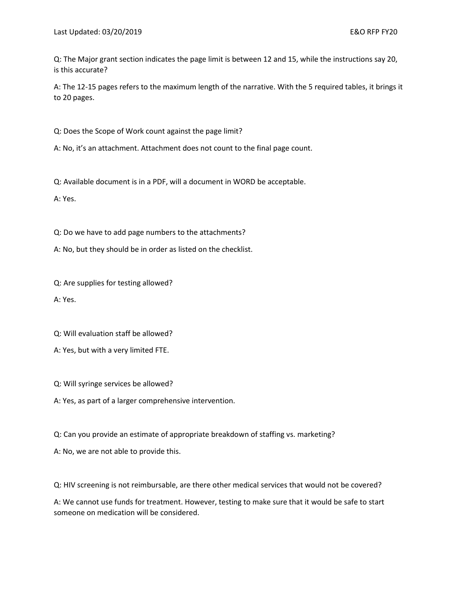Q: The Major grant section indicates the page limit is between 12 and 15, while the instructions say 20, is this accurate?

A: The 12-15 pages refers to the maximum length of the narrative. With the 5 required tables, it brings it to 20 pages.

Q: Does the Scope of Work count against the page limit?

A: No, it's an attachment. Attachment does not count to the final page count.

Q: Available document is in a PDF, will a document in WORD be acceptable.

A: Yes.

Q: Do we have to add page numbers to the attachments?

A: No, but they should be in order as listed on the checklist.

Q: Are supplies for testing allowed?

A: Yes.

Q: Will evaluation staff be allowed?

A: Yes, but with a very limited FTE.

Q: Will syringe services be allowed?

A: Yes, as part of a larger comprehensive intervention.

Q: Can you provide an estimate of appropriate breakdown of staffing vs. marketing?

A: No, we are not able to provide this.

Q: HIV screening is not reimbursable, are there other medical services that would not be covered?

A: We cannot use funds for treatment. However, testing to make sure that it would be safe to start someone on medication will be considered.